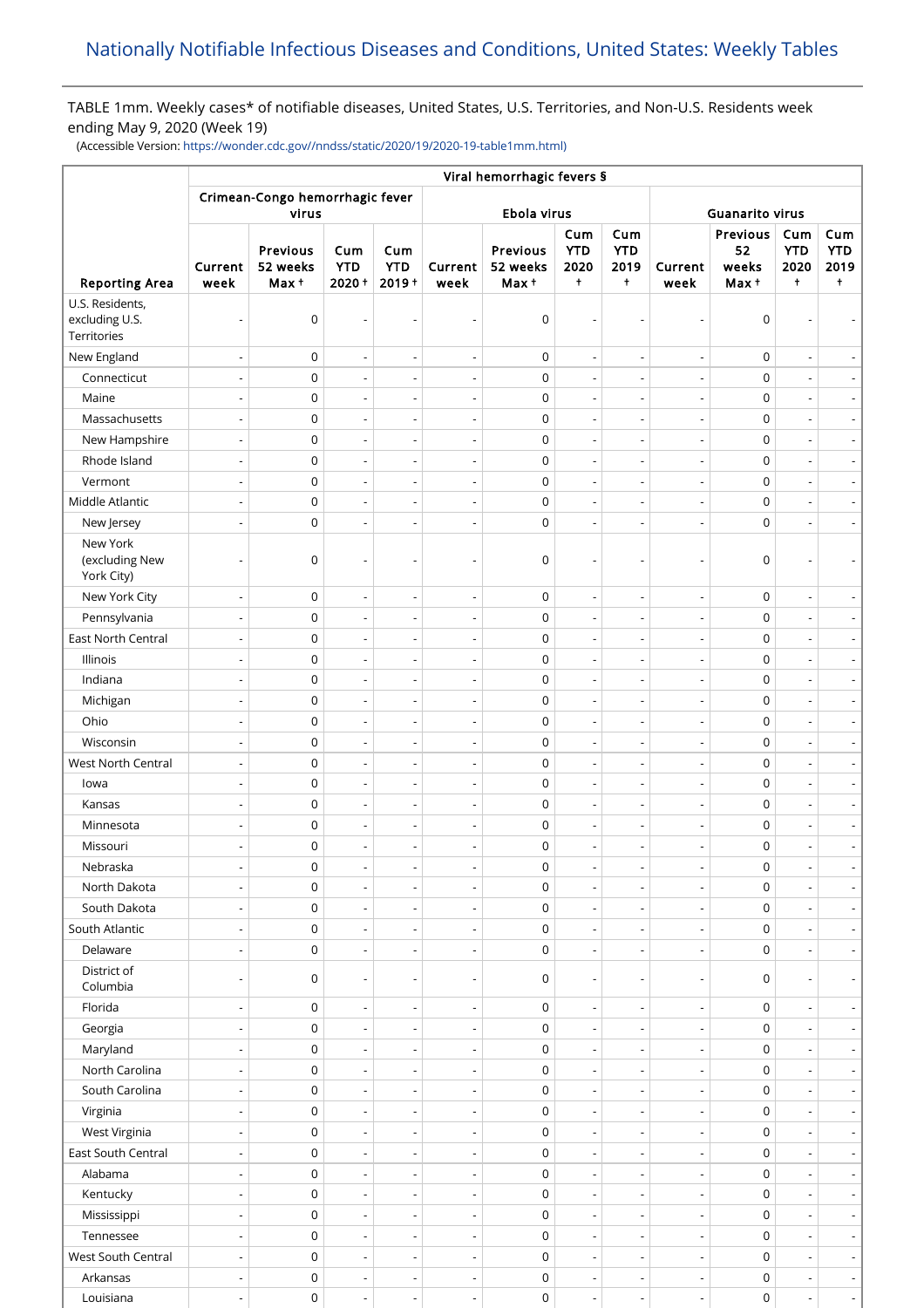# TABLE 1mm. Weekly cases\* of notifiable diseases, United States, U.S. Territories, and Non-U.S. Residents week ending May 9, 2020 (Week 19)

(Accessible Version: [https://wonder.cdc.gov//nndss/static/2020/19/2020-19-table1mm.html\)](https://wonder.cdc.gov//nndss/static/2020/19/2020-19-table1mm.html)

| <b>Reporting Area</b>                            | Viral hemorrhagic fevers § |                                          |                              |                               |                          |                               |                                         |                                         |                          |                                  |                                         |                                         |  |
|--------------------------------------------------|----------------------------|------------------------------------------|------------------------------|-------------------------------|--------------------------|-------------------------------|-----------------------------------------|-----------------------------------------|--------------------------|----------------------------------|-----------------------------------------|-----------------------------------------|--|
|                                                  |                            | Crimean-Congo hemorrhagic fever<br>virus |                              |                               | Ebola virus              |                               |                                         |                                         | <b>Guanarito virus</b>   |                                  |                                         |                                         |  |
|                                                  | Current<br>week            | Previous<br>52 weeks<br>Max +            | Cum<br><b>YTD</b><br>2020+   | Cum<br><b>YTD</b><br>$2019 +$ | Current<br>week          | Previous<br>52 weeks<br>Max + | Cum<br><b>YTD</b><br>2020<br>$\ddagger$ | Cum<br><b>YTD</b><br>2019<br>$\ddagger$ | Current<br>week          | Previous<br>52<br>weeks<br>Max + | Cum<br><b>YTD</b><br>2020<br>$\ddagger$ | Cum<br><b>YTD</b><br>2019<br>$\ddagger$ |  |
| U.S. Residents,<br>excluding U.S.<br>Territories | $\overline{\phantom{a}}$   | $\mathbf 0$                              |                              |                               |                          | 0                             |                                         |                                         |                          | $\mathbf 0$                      |                                         |                                         |  |
| New England                                      | $\overline{\phantom{a}}$   | $\mathsf 0$                              | $\overline{\phantom{a}}$     | $\overline{\phantom{a}}$      | $\overline{\phantom{a}}$ | 0                             | $\overline{\phantom{a}}$                | $\overline{\phantom{a}}$                | $\overline{\phantom{a}}$ | $\mathbf 0$                      | $\overline{\phantom{a}}$                | $\overline{\phantom{a}}$                |  |
| Connecticut                                      | $\overline{\phantom{a}}$   | 0                                        | $\overline{\phantom{a}}$     | L,                            | $\overline{\phantom{a}}$ | 0                             | $\overline{a}$                          | $\overline{a}$                          |                          | $\pmb{0}$                        | $\overline{\phantom{a}}$                | $\overline{\phantom{a}}$                |  |
| Maine                                            | $\overline{\phantom{a}}$   | $\mathsf 0$                              | $\overline{\phantom{m}}$     | $\overline{a}$                | $\overline{\phantom{m}}$ | $\mathsf 0$                   | $\overline{\phantom{a}}$                | $\overline{\phantom{a}}$                | $\overline{\phantom{a}}$ | $\pmb{0}$                        | $\overline{\phantom{a}}$                | $\overline{\phantom{a}}$                |  |
| Massachusetts                                    | $\overline{\phantom{a}}$   | $\mathsf 0$                              | $\overline{a}$               | ÷,                            | $\overline{a}$           | $\mathsf 0$                   | $\overline{\phantom{a}}$                | $\overline{\phantom{a}}$                |                          | $\pmb{0}$                        | $\overline{a}$                          | $\overline{\phantom{a}}$                |  |
| New Hampshire                                    | $\overline{\phantom{a}}$   | $\mathsf 0$                              | $\overline{\phantom{a}}$     | $\overline{\phantom{a}}$      | $\overline{\phantom{m}}$ | $\mathsf 0$                   | $\overline{\phantom{a}}$                | $\overline{\phantom{a}}$                | $\overline{\phantom{a}}$ | $\pmb{0}$                        | $\overline{\phantom{a}}$                | $\overline{\phantom{a}}$                |  |
| Rhode Island                                     | $\overline{\phantom{a}}$   | $\mathsf 0$                              | $\overline{\phantom{a}}$     | ÷,                            | $\overline{a}$           | 0                             | $\overline{a}$                          | $\overline{\phantom{a}}$                | $\overline{\phantom{a}}$ | $\mathbf 0$                      | $\overline{a}$                          | $\overline{\phantom{a}}$                |  |
| Vermont                                          | ÷,                         | $\mathsf 0$                              | $\overline{a}$               | ÷,                            | $\overline{a}$           | $\mathsf 0$                   | L,                                      | ÷,                                      |                          | $\pmb{0}$                        | $\overline{\phantom{a}}$                | $\overline{\phantom{a}}$                |  |
| Middle Atlantic                                  | $\overline{\phantom{a}}$   | $\mathsf 0$                              | $\overline{\phantom{a}}$     | ÷,                            | $\overline{a}$           | $\mathsf 0$                   | $\overline{\phantom{a}}$                | $\overline{\phantom{a}}$                |                          | $\pmb{0}$                        | ÷,                                      | $\overline{\phantom{a}}$                |  |
| New Jersey                                       | ÷,                         | $\mathsf 0$                              |                              | $\overline{a}$                | $\overline{a}$           | $\mathsf 0$                   |                                         | Ĭ.                                      |                          | $\pmb{0}$                        | $\overline{a}$                          | $\overline{\phantom{a}}$                |  |
| New York<br>(excluding New<br>York City)         |                            | $\mathbf 0$                              |                              |                               |                          | 0                             |                                         |                                         |                          | $\mathbf 0$                      |                                         |                                         |  |
| New York City                                    | $\overline{\phantom{a}}$   | $\mathsf 0$                              | $\overline{a}$               | $\overline{a}$                | $\overline{\phantom{0}}$ | $\mathsf{O}\xspace$           |                                         | ÷,                                      |                          | $\pmb{0}$                        |                                         |                                         |  |
| Pennsylvania                                     | $\overline{\phantom{a}}$   | $\mathsf 0$                              | $\overline{\phantom{m}}$     | $\overline{a}$                | $\overline{a}$           | $\mathsf 0$                   | $\overline{\phantom{a}}$                | $\overline{\phantom{a}}$                | $\overline{a}$           | $\pmb{0}$                        | $\overline{\phantom{a}}$                | $\overline{\phantom{a}}$                |  |
| East North Central                               | $\overline{\phantom{a}}$   | 0                                        | $\overline{\phantom{a}}$     | $\overline{a}$                | $\overline{a}$           | $\mathsf 0$                   | $\overline{a}$                          | $\overline{a}$                          |                          | $\mathbf 0$                      | ÷,                                      | $\blacksquare$                          |  |
| Illinois                                         | $\overline{\phantom{a}}$   | $\mathsf 0$                              | $\overline{\phantom{m}}$     | $\overline{a}$                | $\overline{\phantom{m}}$ | $\mathsf 0$                   | $\overline{\phantom{a}}$                | $\overline{\phantom{a}}$                | $\overline{\phantom{a}}$ | $\pmb{0}$                        | $\overline{\phantom{a}}$                | $\overline{\phantom{a}}$                |  |
| Indiana                                          | $\overline{\phantom{a}}$   | $\mathsf 0$                              | $\overline{\phantom{a}}$     | ÷,                            | $\overline{a}$           | $\mathsf 0$                   | $\overline{\phantom{a}}$                | $\overline{\phantom{a}}$                |                          | $\pmb{0}$                        | $\overline{\phantom{a}}$                | $\overline{\phantom{a}}$                |  |
| Michigan                                         | $\overline{\phantom{a}}$   | $\mathsf 0$                              | $\overline{\phantom{a}}$     | $\overline{\phantom{a}}$      | $\overline{\phantom{m}}$ | $\mathsf 0$                   | $\overline{\phantom{a}}$                | $\overline{\phantom{a}}$                | $\overline{\phantom{a}}$ | $\pmb{0}$                        | $\overline{\phantom{a}}$                | $\overline{\phantom{a}}$                |  |
| Ohio                                             | $\overline{\phantom{a}}$   | $\mathsf 0$                              | $\overline{\phantom{a}}$     | ÷,                            | $\overline{a}$           | $\mathsf 0$                   | L,                                      | $\overline{\phantom{a}}$                | $\overline{a}$           | $\mathbf 0$                      | ÷,                                      | $\overline{\phantom{a}}$                |  |
| Wisconsin                                        | ÷,                         | $\mathsf 0$                              | $\overline{a}$               | L,                            | $\overline{a}$           | $\mathsf 0$                   | L,                                      | $\overline{\phantom{a}}$                |                          | $\pmb{0}$                        | $\overline{\phantom{a}}$                | $\blacksquare$                          |  |
| West North Central                               | $\overline{\phantom{a}}$   | $\mathsf 0$                              | $\overline{a}$               | ÷,                            | $\overline{a}$           | $\mathsf 0$                   | $\overline{\phantom{a}}$                | $\overline{\phantom{a}}$                | $\overline{\phantom{a}}$ | $\pmb{0}$                        | $\overline{\phantom{a}}$                | $\blacksquare$                          |  |
| lowa                                             | $\overline{\phantom{a}}$   | $\mathsf 0$                              | $\overline{\phantom{a}}$     | $\overline{a}$                | Ĭ.                       | $\mathsf 0$                   | $\overline{a}$                          | ÷,                                      |                          | $\pmb{0}$                        | $\overline{a}$                          | $\overline{\phantom{0}}$                |  |
| Kansas                                           | $\overline{\phantom{a}}$   | $\mathsf 0$                              | $\overline{\phantom{a}}$     | $\overline{\phantom{a}}$      | $\overline{\phantom{m}}$ | $\mathsf 0$                   | $\overline{\phantom{a}}$                | $\overline{\phantom{a}}$                | $\overline{\phantom{a}}$ | $\mathbf 0$                      | $\overline{\phantom{a}}$                | $\overline{\phantom{a}}$                |  |
| Minnesota                                        | $\overline{\phantom{a}}$   | $\mathsf 0$                              | $\overline{\phantom{a}}$     | $\overline{a}$                | $\overline{a}$           | $\mathsf 0$                   |                                         | ÷,                                      |                          | $\pmb{0}$                        | $\overline{a}$                          | $\blacksquare$                          |  |
| Missouri                                         | $\overline{\phantom{a}}$   | $\mathbf 0$                              | $\overline{\phantom{m}}$     | $\overline{\phantom{a}}$      | $\overline{\phantom{a}}$ | $\mathsf 0$                   | $\overline{a}$                          | $\overline{\phantom{a}}$                | $\overline{\phantom{a}}$ | $\mathbf 0$                      | $\overline{\phantom{a}}$                | $\overline{\phantom{a}}$                |  |
| Nebraska                                         | $\overline{\phantom{a}}$   | 0                                        |                              |                               | $\overline{\phantom{0}}$ | 0                             | $\overline{\phantom{a}}$                | -                                       |                          | 0                                |                                         |                                         |  |
| North Dakota                                     | $\overline{\phantom{a}}$   | $\mathsf 0$                              | $\qquad \qquad \blacksquare$ | $\overline{\phantom{a}}$      | $\overline{\phantom{m}}$ | $\mathsf 0$                   | $\overline{\phantom{a}}$                | $\overline{\phantom{a}}$                | $\overline{\phantom{a}}$ | $\mathbf 0$                      | $\overline{\phantom{a}}$                | $\blacksquare$                          |  |
| South Dakota                                     | $\overline{\phantom{a}}$   | $\mathsf 0$                              | $\overline{\phantom{a}}$     | $\overline{a}$                | $\overline{\phantom{a}}$ | 0                             | $\overline{a}$                          | $\overline{\phantom{a}}$                |                          | $\pmb{0}$                        | $\overline{a}$                          | $\overline{\phantom{a}}$                |  |
| South Atlantic                                   | $\overline{\phantom{a}}$   | $\mathsf 0$                              | $\overline{\phantom{a}}$     | $\overline{a}$                | $\overline{\phantom{m}}$ | $\mathsf 0$                   | $\overline{\phantom{a}}$                | $\overline{\phantom{a}}$                |                          | $\pmb{0}$                        | $\overline{\phantom{a}}$                | $\overline{\phantom{a}}$                |  |
| Delaware                                         | $\overline{\phantom{a}}$   | $\mathsf 0$                              | $\overline{\phantom{a}}$     | $\overline{a}$                | $\overline{a}$           | $\mathsf 0$                   |                                         | $\overline{\phantom{a}}$                |                          | 0                                | $\overline{\phantom{a}}$                | $\overline{\phantom{a}}$                |  |
| District of<br>Columbia                          | $\overline{\phantom{a}}$   | 0                                        | $\overline{\phantom{a}}$     | $\overline{a}$                | $\overline{a}$           | 0                             |                                         | ÷                                       |                          | 0                                | $\overline{\phantom{a}}$                | $\overline{\phantom{a}}$                |  |
| Florida                                          | $\overline{\phantom{a}}$   | $\mathsf 0$                              | $\overline{a}$               | $\overline{a}$                | $\overline{\phantom{a}}$ | $\mathsf 0$                   | $\overline{a}$                          | $\overline{\phantom{a}}$                | $\overline{\phantom{a}}$ | $\pmb{0}$                        | $\blacksquare$                          | ÷                                       |  |
| Georgia                                          | $\overline{\phantom{a}}$   | $\mathsf 0$                              | $\overline{\phantom{a}}$     | $\overline{a}$                | $\overline{\phantom{m}}$ | $\mathsf 0$                   | $\overline{\phantom{a}}$                | $\overline{\phantom{a}}$                |                          | $\mathbf 0$                      | $\overline{a}$                          | $\overline{\phantom{a}}$                |  |
| Maryland                                         | $\overline{\phantom{a}}$   | $\mathsf 0$                              | $\overline{\phantom{a}}$     |                               | $\overline{a}$           | $\mathsf 0$                   |                                         |                                         |                          | 0                                |                                         | $\blacksquare$                          |  |
| North Carolina                                   | $\overline{\phantom{a}}$   | $\mathsf 0$                              | $\overline{\phantom{a}}$     | $\overline{a}$                | $\overline{\phantom{a}}$ | $\mathsf 0$                   | $\overline{\phantom{a}}$                | $\overline{\phantom{a}}$                |                          | $\pmb{0}$                        | $\overline{\phantom{a}}$                | $\overline{\phantom{a}}$                |  |
| South Carolina                                   | $\overline{\phantom{a}}$   | $\mathsf 0$                              | $\overline{\phantom{a}}$     | $\overline{a}$                | $\overline{a}$           | $\mathsf 0$                   |                                         | $\overline{a}$                          |                          | $\pmb{0}$                        | $\overline{a}$                          | $\blacksquare$                          |  |
| Virginia                                         | $\overline{\phantom{a}}$   | $\mathsf 0$                              | $\qquad \qquad \blacksquare$ | $\overline{a}$                | $\overline{\phantom{a}}$ | $\mathsf 0$                   | $\overline{\phantom{a}}$                | $\overline{\phantom{a}}$                | $\overline{\phantom{a}}$ | $\pmb{0}$                        | $\overline{\phantom{a}}$                | $\overline{\phantom{a}}$                |  |
| West Virginia                                    | $\overline{\phantom{a}}$   | 0                                        | $\overline{\phantom{a}}$     |                               | $\overline{a}$           | $\mathsf 0$                   |                                         | $\overline{a}$                          |                          | $\pmb{0}$                        | $\overline{a}$                          | $\overline{\phantom{a}}$                |  |
| East South Central                               | $\overline{\phantom{a}}$   | $\mathsf 0$                              | $\overline{\phantom{a}}$     | $\overline{a}$                | $\overline{\phantom{a}}$ | $\mathsf 0$                   | $\overline{\phantom{a}}$                | $\overline{\phantom{a}}$                | $\overline{\phantom{a}}$ | $\mathbf 0$                      | $\overline{\phantom{a}}$                | $\overline{\phantom{a}}$                |  |
| Alabama                                          | $\overline{\phantom{a}}$   | $\mathsf 0$                              | $\overline{\phantom{a}}$     | $\overline{a}$                | $\overline{a}$           | $\mathsf 0$                   |                                         | $\overline{\phantom{a}}$                |                          | $\pmb{0}$                        | $\overline{\phantom{a}}$                | $\overline{\phantom{a}}$                |  |
| Kentucky                                         | $\overline{\phantom{a}}$   | $\mathsf 0$                              | $\overline{\phantom{a}}$     | $\overline{a}$                | $\overline{\phantom{m}}$ | $\mathsf 0$                   | $\overline{\phantom{a}}$                | $\overline{\phantom{a}}$                | $\overline{\phantom{a}}$ | $\pmb{0}$                        | $\overline{\phantom{a}}$                | $\overline{\phantom{a}}$                |  |
| Mississippi                                      | $\overline{\phantom{a}}$   | $\mathsf 0$                              | $\overline{\phantom{a}}$     | ÷,                            | $\overline{a}$           | $\mathsf 0$                   | $\overline{\phantom{a}}$                | $\overline{\phantom{a}}$                |                          | $\pmb{0}$                        | $\overline{\phantom{a}}$                | $\blacksquare$                          |  |
| Tennessee                                        | $\overline{\phantom{a}}$   | $\mathsf 0$                              | $\frac{1}{2}$                |                               | $\overline{\phantom{a}}$ | $\mathsf 0$                   |                                         | $\overline{\phantom{a}}$                |                          | $\pmb{0}$                        | ÷,                                      | $\blacksquare$                          |  |
| West South Central                               | $\overline{\phantom{a}}$   | $\mathsf 0$                              | $\overline{a}$               | ÷,                            | $\overline{a}$           | $\mathsf{O}\xspace$           | $\overline{\phantom{a}}$                | $\overline{\phantom{a}}$                |                          | $\pmb{0}$                        | $\overline{\phantom{a}}$                | $\blacksquare$                          |  |
| Arkansas                                         | $\overline{\phantom{0}}$   | $\mathsf 0$                              | $\overline{\phantom{a}}$     | $\overline{a}$                | $\overline{\phantom{m}}$ | $\mathsf{O}\xspace$           | $\overline{a}$                          | $\overline{a}$                          |                          | $\mathsf 0$                      | $\overline{\phantom{a}}$                |                                         |  |
| Louisiana                                        | $\overline{\phantom{a}}$   | $\mathsf 0$                              | $\overline{\phantom{a}}$     | $\overline{\phantom{a}}$      | $\overline{\phantom{a}}$ | $\mathsf{O}\xspace$           | $\overline{\phantom{a}}$                | $\overline{\phantom{a}}$                | $\overline{\phantom{a}}$ | $\mathsf 0$                      | $\overline{\phantom{a}}$                | - 1                                     |  |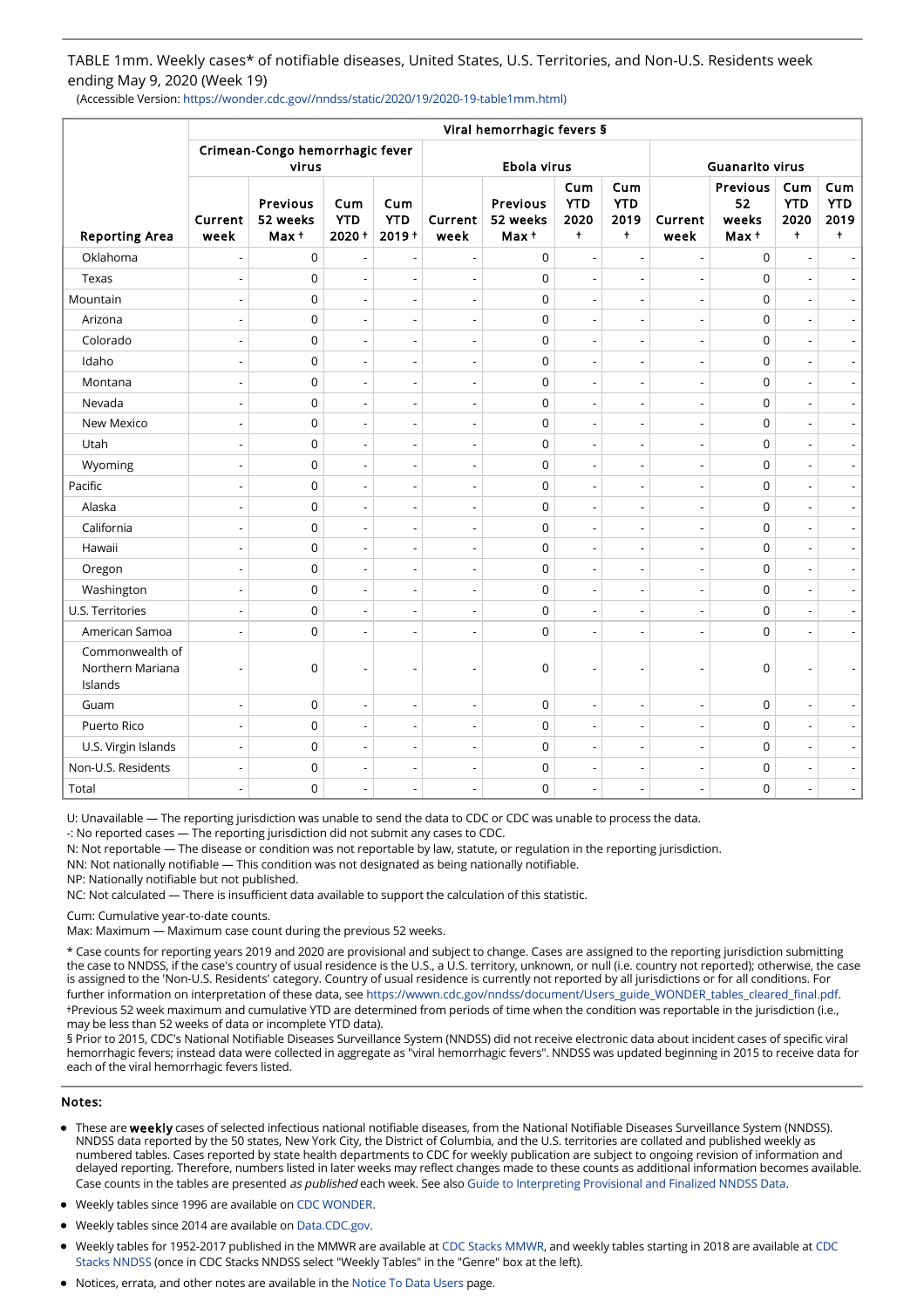TABLE 1mm. Weekly cases\* of notifiable diseases, United States, U.S. Territories, and Non-U.S. Residents week ending May 9, 2020 (Week 19)

(Accessible Version: https://wonder.cdc.gov//nndss/static/2020/19/2020-19-table1mm.html)

|                                                | Viral hemorrhagic fevers §               |                                 |                               |                               |                          |                              |                                         |                                         |                          |                                 |                                         |                                         |  |
|------------------------------------------------|------------------------------------------|---------------------------------|-------------------------------|-------------------------------|--------------------------|------------------------------|-----------------------------------------|-----------------------------------------|--------------------------|---------------------------------|-----------------------------------------|-----------------------------------------|--|
|                                                | Crimean-Congo hemorrhagic fever<br>virus |                                 |                               |                               |                          | Ebola virus                  | <b>Guanarito virus</b>                  |                                         |                          |                                 |                                         |                                         |  |
| <b>Reporting Area</b>                          | Current<br>week                          | Previous<br>52 weeks<br>$Max +$ | Cum<br><b>YTD</b><br>$2020 +$ | Cum<br><b>YTD</b><br>$2019 +$ | Current<br>week          | Previous<br>52 weeks<br>Max+ | Cum<br><b>YTD</b><br>2020<br>$\ddagger$ | Cum<br><b>YTD</b><br>2019<br>$\ddagger$ | Current<br>week          | Previous<br>52<br>weeks<br>Max+ | Cum<br><b>YTD</b><br>2020<br>$\ddagger$ | Cum<br><b>YTD</b><br>2019<br>$\ddagger$ |  |
| Oklahoma                                       | $\overline{a}$                           | $\mathbf 0$                     | $\overline{\phantom{a}}$      |                               | $\overline{\phantom{a}}$ | $\mathsf 0$                  |                                         | $\overline{\phantom{a}}$                |                          | $\mathbf 0$                     |                                         |                                         |  |
| Texas                                          | Ĭ.                                       | 0                               | $\overline{\phantom{a}}$      | $\overline{a}$                | $\overline{a}$           | $\mathsf 0$                  |                                         |                                         |                          | $\pmb{0}$                       |                                         |                                         |  |
| Mountain                                       | $\overline{\phantom{a}}$                 | $\mathbf 0$                     | $\overline{\phantom{a}}$      | $\overline{a}$                | $\overline{a}$           | $\mathbf 0$                  | $\overline{a}$                          | $\overline{\phantom{a}}$                | $\overline{a}$           | $\mathbf 0$                     | $\overline{\phantom{a}}$                |                                         |  |
| Arizona                                        |                                          | 0                               | $\overline{\phantom{a}}$      | L,                            | $\overline{a}$           | $\mathsf 0$                  |                                         |                                         |                          | $\mathsf 0$                     | ÷,                                      |                                         |  |
| Colorado                                       | $\overline{\phantom{a}}$                 | 0                               | $\overline{\phantom{a}}$      | $\overline{a}$                | $\overline{\phantom{a}}$ | $\mathsf 0$                  | $\overline{a}$                          | $\overline{\phantom{a}}$                |                          | $\mathbf 0$                     | $\overline{\phantom{a}}$                | $\overline{\phantom{a}}$                |  |
| Idaho                                          | Ĭ.                                       | 0                               | $\overline{\phantom{a}}$      | $\overline{a}$                | $\overline{a}$           | $\mathsf 0$                  |                                         | $\overline{a}$                          |                          | $\pmb{0}$                       | $\overline{a}$                          |                                         |  |
| Montana                                        | $\overline{a}$                           | 0                               | $\overline{\phantom{a}}$      | $\overline{a}$                | $\overline{\phantom{a}}$ | $\mathsf 0$                  | $\overline{a}$                          | $\overline{\phantom{a}}$                | $\overline{\phantom{a}}$ | $\overline{0}$                  | $\overline{\phantom{a}}$                | $\overline{\phantom{a}}$                |  |
| Nevada                                         | ÷,                                       | 0                               | $\overline{\phantom{a}}$      | L,                            | $\overline{\phantom{a}}$ | $\mathsf 0$                  | $\overline{a}$                          | $\overline{\phantom{a}}$                |                          | $\pmb{0}$                       | ÷,                                      | $\overline{\phantom{a}}$                |  |
| New Mexico                                     | $\overline{\phantom{a}}$                 | 0                               | $\overline{\phantom{a}}$      | L,                            | $\overline{\phantom{a}}$ | $\mathbf 0$                  | $\overline{a}$                          | $\overline{\phantom{a}}$                |                          | $\mathbf 0$                     | $\overline{\phantom{a}}$                | $\overline{\phantom{a}}$                |  |
| Utah                                           | ÷,                                       | 0                               | $\overline{\phantom{a}}$      | Ĭ.                            | $\overline{\phantom{a}}$ | $\mathsf 0$                  | $\overline{a}$                          | $\overline{\phantom{a}}$                |                          | $\pmb{0}$                       | ÷,                                      |                                         |  |
| Wyoming                                        | ÷,                                       | $\mathbf 0$                     | $\overline{\phantom{a}}$      | ÷,                            | $\blacksquare$           | $\mathsf 0$                  | $\overline{a}$                          | $\overline{a}$                          |                          | $\mathbf 0$                     | ÷,                                      | $\overline{\phantom{a}}$                |  |
| Pacific                                        | Ĭ.                                       | 0                               | $\overline{\phantom{a}}$      | $\overline{a}$                | $\overline{a}$           | $\mathsf 0$                  |                                         | $\overline{a}$                          |                          | $\pmb{0}$                       | ÷,                                      |                                         |  |
| Alaska                                         | $\overline{a}$                           | 0                               | $\overline{a}$                | $\overline{a}$                | $\overline{\phantom{a}}$ | $\mathbf 0$                  | $\overline{a}$                          | $\overline{a}$                          |                          | $\mathbf 0$                     | $\overline{a}$                          | $\overline{\phantom{a}}$                |  |
| California                                     | ÷,                                       | 0                               | $\overline{\phantom{a}}$      | L,                            | $\overline{\phantom{a}}$ | $\mathsf 0$                  | L,                                      | $\overline{a}$                          |                          | $\pmb{0}$                       | ÷,                                      |                                         |  |
| Hawaii                                         | $\overline{a}$                           | 0                               | $\overline{a}$                | $\overline{a}$                | $\overline{\phantom{a}}$ | $\mathbf 0$                  | $\overline{a}$                          | $\overline{a}$                          | $\overline{a}$           | $\mathbf 0$                     | $\overline{a}$                          | $\overline{a}$                          |  |
| Oregon                                         | $\overline{\phantom{a}}$                 | 0                               | $\overline{\phantom{a}}$      | $\overline{a}$                | $\overline{\phantom{a}}$ | $\mathbf 0$                  | $\overline{\phantom{a}}$                | $\overline{\phantom{a}}$                | $\overline{a}$           | $\mathbf 0$                     | $\overline{\phantom{a}}$                |                                         |  |
| Washington                                     | $\overline{a}$                           | 0                               | $\overline{a}$                | $\overline{a}$                | $\overline{\phantom{a}}$ | 0                            | $\overline{a}$                          | $\overline{a}$                          |                          | $\pmb{0}$                       | $\overline{a}$                          | $\overline{a}$                          |  |
| U.S. Territories                               | $\overline{a}$                           | 0                               | $\overline{\phantom{a}}$      | $\overline{a}$                | $\overline{\phantom{a}}$ | $\mathsf 0$                  | $\overline{\phantom{a}}$                | $\overline{\phantom{a}}$                | $\overline{a}$           | $\mathbf 0$                     | $\overline{a}$                          |                                         |  |
| American Samoa                                 | $\overline{a}$                           | 0                               | $\overline{a}$                | $\overline{a}$                | $\overline{\phantom{a}}$ | $\mathbf 0$                  | $\overline{a}$                          | $\overline{a}$                          | $\overline{a}$           | $\mathbf 0$                     | $\overline{a}$                          | $\overline{a}$                          |  |
| Commonwealth of<br>Northern Mariana<br>Islands | ٠                                        | 0                               | $\overline{\phantom{a}}$      | ٠                             | $\overline{\phantom{a}}$ | $\mathbf 0$                  |                                         | $\overline{\phantom{0}}$                |                          | $\mathbf 0$                     |                                         |                                         |  |
| Guam                                           | L,                                       | 0                               | $\overline{\phantom{a}}$      | $\overline{a}$                | $\overline{a}$           | $\mathsf 0$                  | $\overline{a}$                          | $\overline{a}$                          | $\overline{a}$           | $\pmb{0}$                       | $\overline{a}$                          |                                         |  |
| Puerto Rico                                    | $\overline{\phantom{a}}$                 | 0                               | $\overline{\phantom{a}}$      | $\overline{a}$                | $\overline{\phantom{a}}$ | $\overline{0}$               | $\overline{a}$                          | $\overline{\phantom{a}}$                | $\overline{a}$           | $\mathbf 0$                     | $\overline{\phantom{a}}$                | $\overline{\phantom{a}}$                |  |
| U.S. Virgin Islands                            | ÷,                                       | 0                               | $\overline{\phantom{a}}$      | $\overline{a}$                | $\overline{\phantom{a}}$ | $\mathsf 0$                  | $\overline{a}$                          | $\overline{a}$                          |                          | $\pmb{0}$                       | $\overline{a}$                          | $\overline{\phantom{a}}$                |  |
| Non-U.S. Residents                             | $\overline{\phantom{a}}$                 | $\mathbf 0$                     | $\overline{\phantom{a}}$      | $\overline{a}$                | $\overline{a}$           | $\mathbf 0$                  | $\overline{a}$                          | $\overline{\phantom{a}}$                | $\overline{a}$           | $\mathbf 0$                     | $\overline{a}$                          | $\overline{\phantom{a}}$                |  |
| Total                                          | ÷,                                       | 0                               | $\overline{\phantom{a}}$      | $\overline{a}$                | $\overline{\phantom{a}}$ | $\mathsf 0$                  | $\overline{\phantom{a}}$                | $\overline{\phantom{a}}$                |                          | 0                               | $\overline{a}$                          | $\overline{\phantom{a}}$                |  |

U: Unavailable — The reporting jurisdiction was unable to send the data to CDC or CDC was unable to process the data.

-: No reported cases — The reporting jurisdiction did not submit any cases to CDC.

N: Not reportable — The disease or condition was not reportable by law, statute, or regulation in the reporting jurisdiction.

NN: Not nationally notifiable — This condition was not designated as being nationally notifiable.

NP: Nationally notifiable but not published.

NC: Not calculated — There is insufficient data available to support the calculation of this statistic.

Cum: Cumulative year-to-date counts.

Max: Maximum — Maximum case count during the previous 52 weeks.

\* Case counts for reporting years 2019 and 2020 are provisional and subject to change. Cases are assigned to the reporting jurisdiction submitting the case to NNDSS, if the case's country of usual residence is the U.S., a U.S. territory, unknown, or null (i.e. country not reported); otherwise, the case is assigned to the 'Non-U.S. Residents' category. Country of usual residence is currently not reported by all jurisdictions or for all conditions. For further information on interpretation of these data, see [https://wwwn.cdc.gov/nndss/document/Users\\_guide\\_WONDER\\_tables\\_cleared\\_final.pdf.](https://wwwn.cdc.gov/nndss/document/Users_guide_WONDER_tables_cleared_final.pdf) †Previous 52 week maximum and cumulative YTD are determined from periods of time when the condition was reportable in the jurisdiction (i.e., may be less than 52 weeks of data or incomplete YTD data).

§ Prior to 2015, CDC's National Notifiable Diseases Surveillance System (NNDSS) did not receive electronic data about incident cases of specific viral hemorrhagic fevers; instead data were collected in aggregate as "viral hemorrhagic fevers". NNDSS was updated beginning in 2015 to receive data for each of the viral hemorrhagic fevers listed.

### Notes:

- These are weekly cases of selected infectious national notifiable diseases, from the National Notifiable Diseases Surveillance System (NNDSS). NNDSS data reported by the 50 states, New York City, the District of Columbia, and the U.S. territories are collated and published weekly as numbered tables. Cases reported by state health departments to CDC for weekly publication are subject to ongoing revision of information and delayed reporting. Therefore, numbers listed in later weeks may reflect changes made to these counts as additional information becomes available. Case counts in the tables are presented as published each week. See also [Guide to Interpreting Provisional and Finalized NNDSS Data](https://wwwn.cdc.gov/nndss/document/Users_guide_WONDER_tables_cleared_final.pdf).
- Weekly tables since 1996 are available on [CDC WONDER.](https://wonder.cdc.gov/nndss/nndss_weekly_tables_menu.asp)
- Weekly tables since 2014 are available on [Data.CDC.gov](https://data.cdc.gov/browse?q=NNDSS&sortBy=newest&utf8=%E2%9C%93).
- [Weekly tables for 1952-2017 published in the MMWR are available at C](https://stacks.cdc.gov/nndss)[DC Stacks MMW](https://stacks.cdc.gov/mmwr)[R, and weekly tables starting in 2018 are available at CDC](https://stacks.cdc.gov/nndss) Stacks NNDSS (once in CDC Stacks NNDSS select "Weekly Tables" in the "Genre" box at the left).
- Notices, errata, and other notes are available in the [Notice To Data Users](https://wonder.cdc.gov/nndss/NTR.html) page.